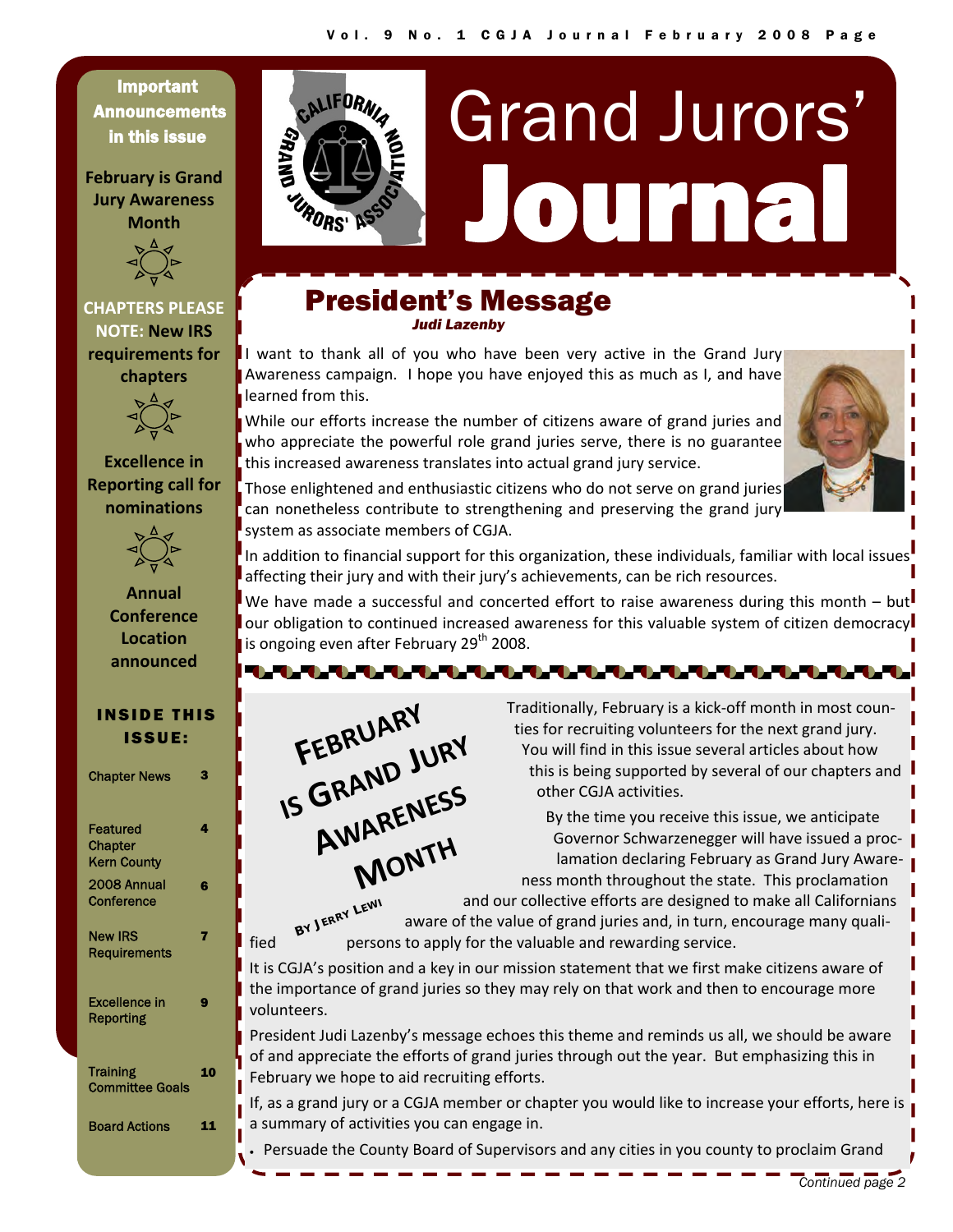Important **Announcements** in this issue

**February is Grand Jury Awareness Month**



# **CHAPTERS PLEASE NOTE: New IRS requirements for chapters**



**Excellence** in **Reporting call for nominations**



**Annual Conference Location announced**

#### INSIDE THIS ISSUE:

| <b>Chapter News</b>                              | 78 |
|--------------------------------------------------|----|
| Featured<br><b>Chapter</b><br><b>Kern County</b> | 4  |
| 2008 Annual<br>Conference                        | G  |
| <b>New IRS</b><br>Requirements                   | 7  |
| <b>Excellence in</b><br>Reporting                | q  |
| <b>Training</b><br><b>Committee Goals</b>        | 10 |
| <b>Board Actions</b>                             |    |



# President's Message *Judi Lazenby*

. . . . . . . . . . . . . . .

C.ALIFORN

**RORS'** 

I want to thank all of you who have been very active in the Grand Jury Awareness campaign. I hope you have enjoyed this as much as I, and have learned from this.

While our efforts increase the number of citizens aware of grand juries and who appreciate the powerful role grand juries serve, there is no guarantee this increased awareness translates into actual grand jury service.



Those enlightened and enthusiastic citizens who do not serve on grand juries can nonetheless contribute to strengthening and preserving the grand jury system as associate members of CGJA.

In addition to financial support for this organization, these individuals, familiar with local issues affecting their jury and with their jury's achievements, can be rich resources.

We have made a successful and concerted effort to raise awareness during this month – but our obligation to continued increased awareness for this valuable system of citizen democracy is ongoing even after February  $29<sup>th</sup> 2008$ .



 Traditionally, February is a kick‐off month in most coun‐ ties for recruiting volunteers for the next grand jury. You will find in this issue several articles about how this is being supported by several of our chapters and other CGJA activities.

By the time you receive this issue, we anticipate Governor Schwarzenegger will have issued a proclamation declaring February as Grand Jury Awareness month throughout the state. This proclamation and our collective efforts are designed to make all Californians

*<sup>B</sup><sup>Y</sup> <sup>J</sup>ERRY <sup>L</sup>EWI*

aware of the value of grand juries and, in turn, encourage many quali‐ fied persons to apply for the valuable and rewarding service.

It is CGJA's position and a key in our mission statement that we first make citizens aware of the importance of grand juries so they may rely on that work and then to encourage more volunteers.

President Judi Lazenby's message echoes this theme and reminds us all, we should be aware of and appreciate the efforts of grand juries through out the year. But emphasizing this in February we hope to aid recruiting efforts.

If, as a grand jury or a CGJA member or chapter you would like to increase your efforts, here is a summary of activities you can engage in.

• Persuade the County Board of Supervisors and any cities in you county to proclaim Grand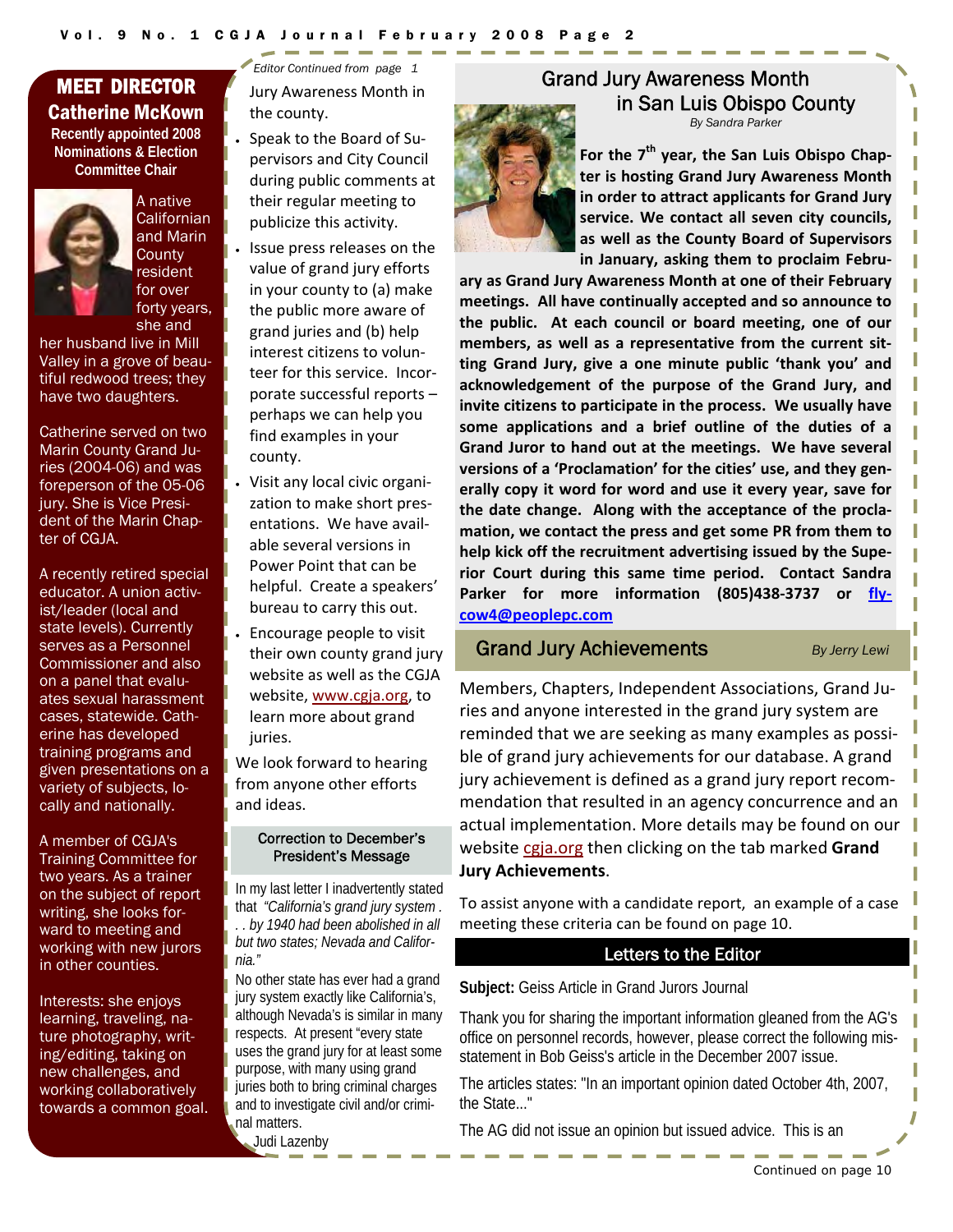# MEET DIRECTOR Catherine McKown

**Recently appointed 2008 Nominations & Election Committee Chair** 



A native **Californian** and Marin **County** resident

for over

forty years, she and her husband live in Mill Valley in a grove of beautiful redwood trees; they have two daughters.

Catherine served on two Marin County Grand Juries (2004-06) and was foreperson of the 05-06 jury. She is Vice President of the Marin Chapter of CGJA.

A recently retired special educator. A union activist/leader (local and state levels). Currently serves as a Personnel Commissioner and also on a panel that evaluates sexual harassment cases, statewide. Catherine has developed training programs and given presentations on a variety of subjects, locally and nationally.

A member of CGJA's Training Committee for two years. As a trainer on the subject of report writing, she looks forward to meeting and working with new jurors in other counties.

Interests: she enjoys learning, traveling, nature photography, writing/editing, taking on new challenges, and working collaboratively towards a common goal. Jury Awareness Month in the county. *Editor Continued from page 1* 

- Speak to the Board of Su‐ pervisors and City Council during public comments at their regular meeting to publicize this activity.
- Issue press releases on the value of grand jury efforts in your county to (a) make the public more aware of grand juries and (b) help interest citizens to volun‐ teer for this service. Incor‐ porate successful reports – perhaps we can help you find examples in your county.
- Visit any local civic organi‐ zation to make short pres‐ entations. We have avail‐ able several versions in Power Point that can be helpful. Create a speakers' bureau to carry this out.
	- Encourage people to visit their own county grand jury website as well as the CGJA website, www.cgja.org, to learn more about grand juries.

We look forward to hearing from anyone other efforts and ideas.

#### Correction to December's President's Message

In my last letter I inadvertently stated that *"California's grand jury system . . . by 1940 had been abolished in all but two states; Nevada and California."*

No other state has ever had a grand jury system exactly like California's, although Nevada's is similar in many respects. At present "every state uses the grand jury for at least some purpose, with many using grand juries both to bring criminal charges and to investigate civil and/or criminal matters.

Judi Lazenby

# Grand Jury Awareness Month in San Luis Obispo County

*By Sandra Parker* 



**For the 7th year, the San Luis Obispo Chap‐ ter is hosting Grand Jury Awareness Month in order to attract applicants for Grand Jury service. We contact all seven city councils, as well as the County Board of Supervisors in January, asking them to proclaim Febru‐**

**ary as Grand Jury Awareness Month at one of their February meetings. All have continually accepted and so announce to the public. At each council or board meeting, one of our members, as well as a representative from the current sit‐ ting Grand Jury, give a one minute public 'thank you' and acknowledgement of the purpose of the Grand Jury, and invite citizens to participate in the process. We usually have some applications and a brief outline of the duties of a Grand Juror to hand out at the meetings. We have several versions of a 'Proclamation' for the cities' use, and they gen‐ erally copy it word for word and use it every year, save for the date change. Along with the acceptance of the procla‐ mation, we contact the press and get some PR from them to help kick off the recruitment advertising issued by the Supe‐ rior Court during this same time period. Contact Sandra Parker for more information (805)438‐3737 or fly‐ cow4@peoplepc.com** 

#### Grand Jury Achievements *By Jerry Lewi*

Members, Chapters, Independent Associations, Grand Ju‐ ries and anyone interested in the grand jury system are reminded that we are seeking as many examples as possi‐ ble of grand jury achievements for our database. A grand jury achievement is defined as a grand jury report recom‐ mendation that resulted in an agency concurrence and an actual implementation. More details may be found on our website cgja.org then clicking on the tab marked **Grand Jury Achievements**.

To assist anyone with a candidate report, an example of a case meeting these criteria can be found on page 10.

#### Letters to the Editor

**Subject:** Geiss Article in Grand Jurors Journal

Thank you for sharing the important information gleaned from the AG's office on personnel records, however, please correct the following misstatement in Bob Geiss's article in the December 2007 issue.

The articles states: "In an important opinion dated October 4th, 2007, the State..."

The AG did not issue an opinion but issued advice. This is an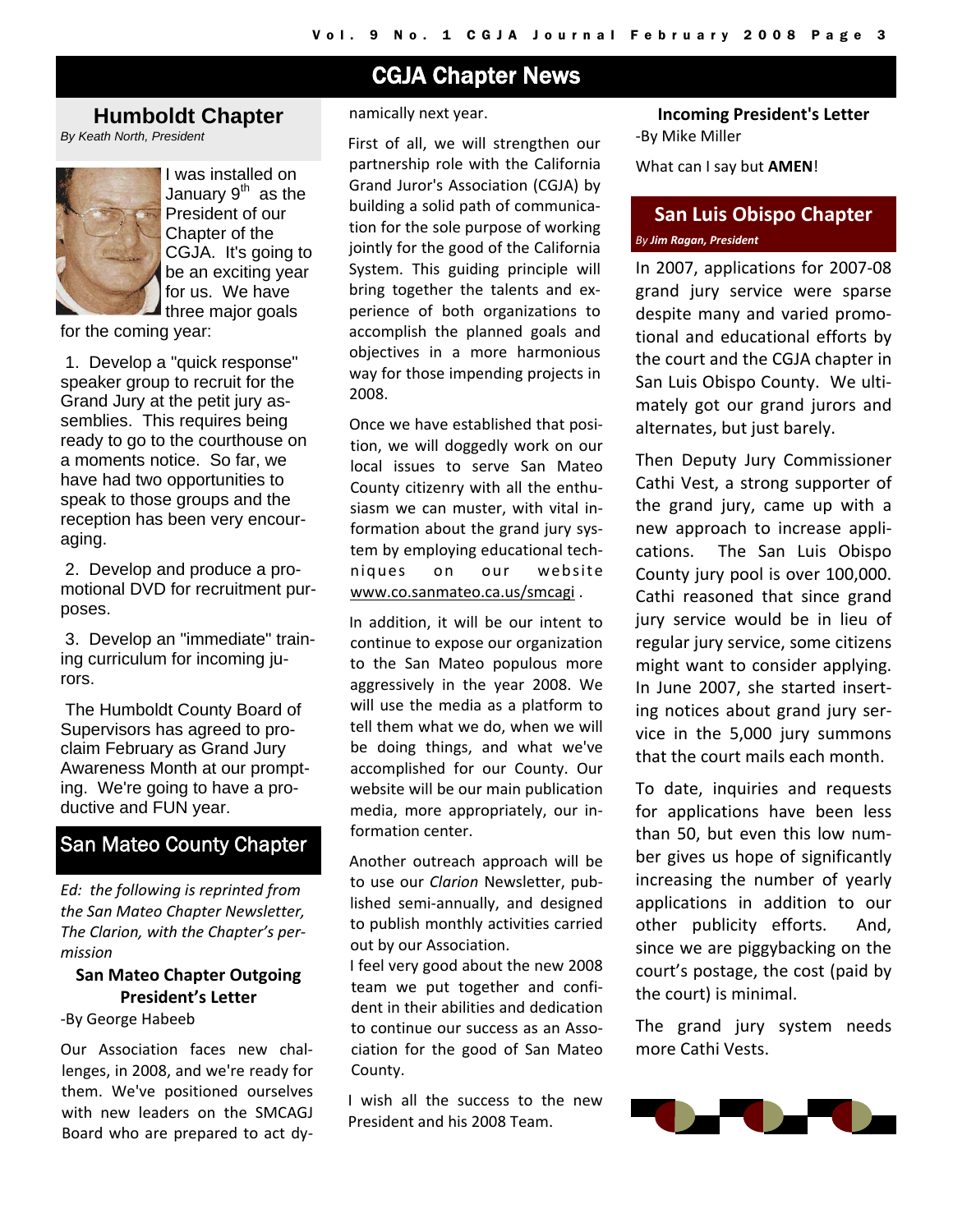# CGJA Chapter News

# **Humboldt Chapter**

*By Keath North, President* 



I was installed on Januarv 9<sup>th</sup> as the President of our Chapter of the CGJA. It's going to be an exciting year for us. We have three major goals

for the coming year:

 1. Develop a "quick response" speaker group to recruit for the Grand Jury at the petit jury assemblies. This requires being ready to go to the courthouse on a moments notice. So far, we have had two opportunities to speak to those groups and the reception has been very encouraging.

 2. Develop and produce a promotional DVD for recruitment purposes.

 3. Develop an "immediate" training curriculum for incoming jurors.

 The Humboldt County Board of Supervisors has agreed to proclaim February as Grand Jury Awareness Month at our prompting. We're going to have a productive and FUN year.

# San Mateo County Chapter

*Ed: the following is reprinted from the San Mateo Chapter Newsletter, The Clarion, with the Chapter's per‐ mission*

# **San Mateo Chapter Outgoing President's Letter**

‐By George Habeeb

Our Association faces new chal‐ lenges, in 2008, and we're ready for them. We've positioned ourselves with new leaders on the SMCAGJ Board who are prepared to act dy‐

#### namically next year.

First of all, we will strengthen our partnership role with the California Grand Juror's Association (CGJA) by building a solid path of communica‐ tion for the sole purpose of working jointly for the good of the California System. This guiding principle will bring together the talents and ex‐ perience of both organizations to accomplish the planned goals and objectives in a more harmonious way for those impending projects in 2008.

Once we have established that posi‐ tion, we will doggedly work on our local issues to serve San Mateo County citizenry with all the enthu‐ siasm we can muster, with vital in‐ formation about the grand jury sys‐ tem by employing educational tech‐ niques on our website www.co.sanmateo.ca.us/smcagi .

In addition, it will be our intent to continue to expose our organization to the San Mateo populous more aggressively in the year 2008. We will use the media as a platform to tell them what we do, when we will be doing things, and what we've accomplished for our County. Our website will be our main publication media, more appropriately, our in‐ formation center.

Another outreach approach will be to use our *Clarion* Newsletter, pub‐ lished semi‐annually, and designed to publish monthly activities carried out by our Association.

I feel very good about the new 2008 team we put together and confi‐ dent in their abilities and dedication to continue our success as an Association for the good of San Mateo County.

I wish all the success to the new President and his 2008 Team.

**Incoming President's Letter**  ‐By Mike Miller

What can I say but **AMEN**!

# **San Luis Obispo Chapter**  *By Jim Ragan, President*

In 2007, applications for 2007‐08 grand jury service were sparse despite many and varied promo‐ tional and educational efforts by the court and the CGJA chapter in San Luis Obispo County. We ulti‐ mately got our grand jurors and alternates, but just barely.

Then Deputy Jury Commissioner Cathi Vest, a strong supporter of the grand jury, came up with a new approach to increase appli‐ cations. The San Luis Obispo County jury pool is over 100,000. Cathi reasoned that since grand jury service would be in lieu of regular jury service, some citizens might want to consider applying. In June 2007, she started insert‐ ing notices about grand jury ser‐ vice in the 5,000 jury summons that the court mails each month.

To date, inquiries and requests for applications have been less than 50, but even this low num‐ ber gives us hope of significantly increasing the number of yearly applications in addition to our other publicity efforts. And, since we are piggybacking on the court's postage, the cost (paid by the court) is minimal.

The grand jury system needs more Cathi Vests.

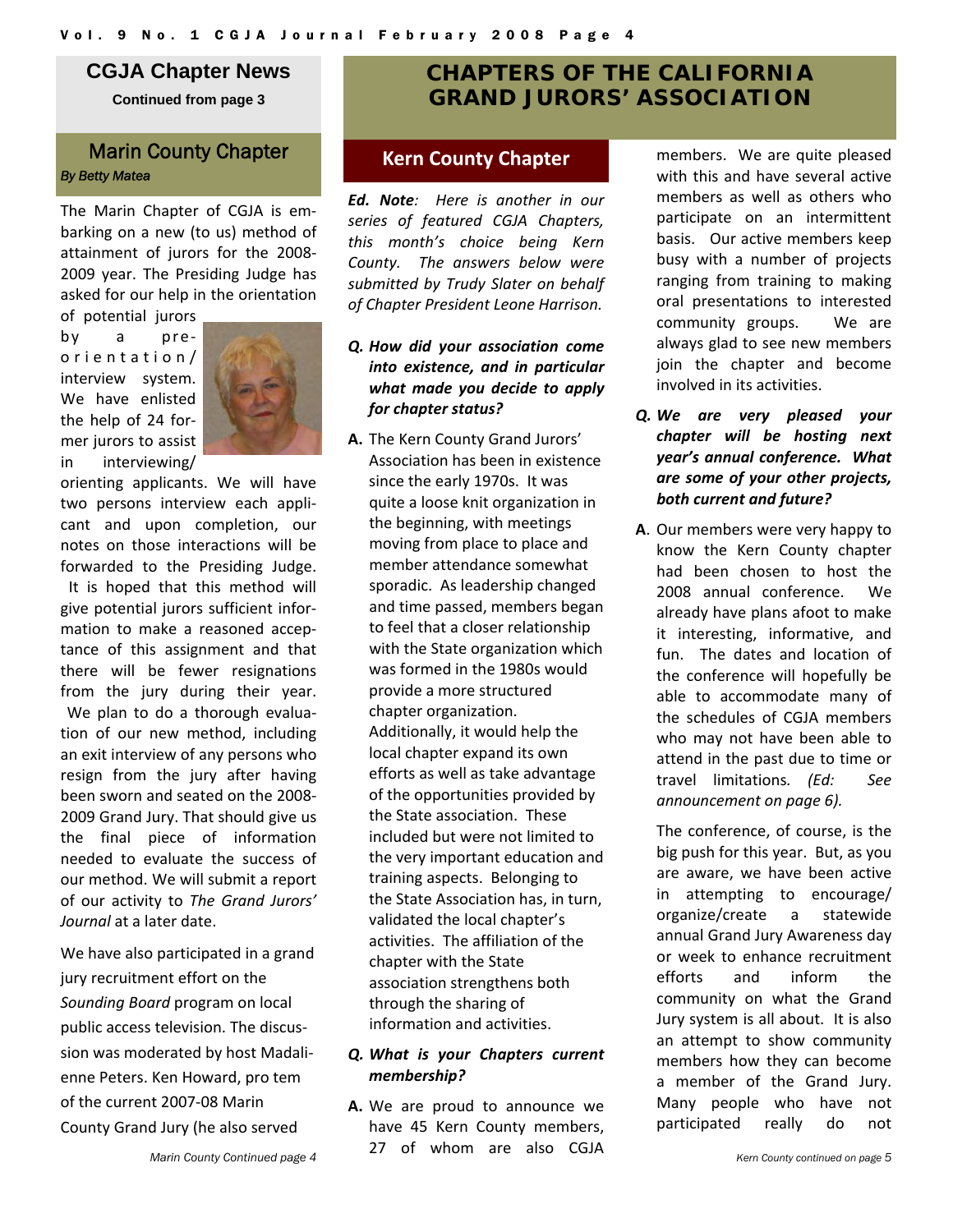# **CGJA Chapter News**

**Continued from page 3** 

# **Marin County Chapter <b>Kern County Chapter** *By Betty Matea*

The Marin Chapter of CGJA is em‐ barking on a new (to us) method of attainment of jurors for the 2008‐ 2009 year. The Presiding Judge has asked for our help in the orientation

of potential jurors by a pre‐ orientation/ interview system. We have enlisted the help of 24 for‐ mer jurors to assist in interviewing/



orienting applicants. We will have two persons interview each appli‐ cant and upon completion, our notes on those interactions will be forwarded to the Presiding Judge. It is hoped that this method will give potential jurors sufficient infor‐ mation to make a reasoned accep‐ tance of this assignment and that there will be fewer resignations from the jury during their year. We plan to do a thorough evaluation of our new method, including an exit interview of any persons who resign from the jury after having been sworn and seated on the 2008‐ 2009 Grand Jury. That should give us the final piece of information needed to evaluate the success of our method. We will submit a report of our activity to *The Grand Jurors' Journal* at a later date.

We have also participated in a grand jury recruitment effort on the *Sounding Board* program on local public access television. The discus‐ sion was moderated by host Madali‐ enne Peters. Ken Howard, pro tem of the current 2007‐08 Marin County Grand Jury (he also served

# **CHAPTERS OF THE CALIFORNIA GRAND JURORS' ASSOCIATION**

*Ed. Note: Here is another in our series of featured CGJA Chapters, this month's choice being Kern County. The answers below were submitted by Trudy Slater on behalf of Chapter President Leone Harrison.*

- *Q. How did your association come into existence, and in particular what made you decide to apply for chapter status?*
- **A.** The Kern County Grand Jurors' Association has been in existence since the early 1970s. It was quite a loose knit organization in the beginning, with meetings moving from place to place and member attendance somewhat sporadic. As leadership changed and time passed, members began to feel that a closer relationship with the State organization which was formed in the 1980s would provide a more structured chapter organization. Additionally, it would help the local chapter expand its own efforts as well as take advantage of the opportunities provided by the State association. These included but were not limited to the very important education and training aspects. Belonging to the State Association has, in turn, validated the local chapter's activities. The affiliation of the chapter with the State association strengthens both through the sharing of information and activities.

#### *Q. What is your Chapters current membership?*

**A.** We are proud to announce we have 45 Kern County members, 27 of whom are also CGJA

members. We are quite pleased with this and have several active members as well as others who participate on an intermittent basis. Our active members keep busy with a number of projects ranging from training to making oral presentations to interested community groups. We are always glad to see new members join the chapter and become involved in its activities.

- *Q. We are very pleased your chapter will be hosting next year's annual conference. What are some of your other projects, both current and future?*
- **A**. Our members were very happy to know the Kern County chapter had been chosen to host the 2008 annual conference. We already have plans afoot to make it interesting, informative, and fun. The dates and location of the conference will hopefully be able to accommodate many of the schedules of CGJA members who may not have been able to attend in the past due to time or travel limitations*. (Ed: See announcement on page 6).*

The conference, of course, is the big push for this year. But, as you are aware, we have been active in attempting to encourage/ organize/create a statewide annual Grand Jury Awareness day or week to enhance recruitment efforts and inform the community on what the Grand Jury system is all about. It is also an attempt to show community members how they can become a member of the Grand Jury. Many people who have not participated really do not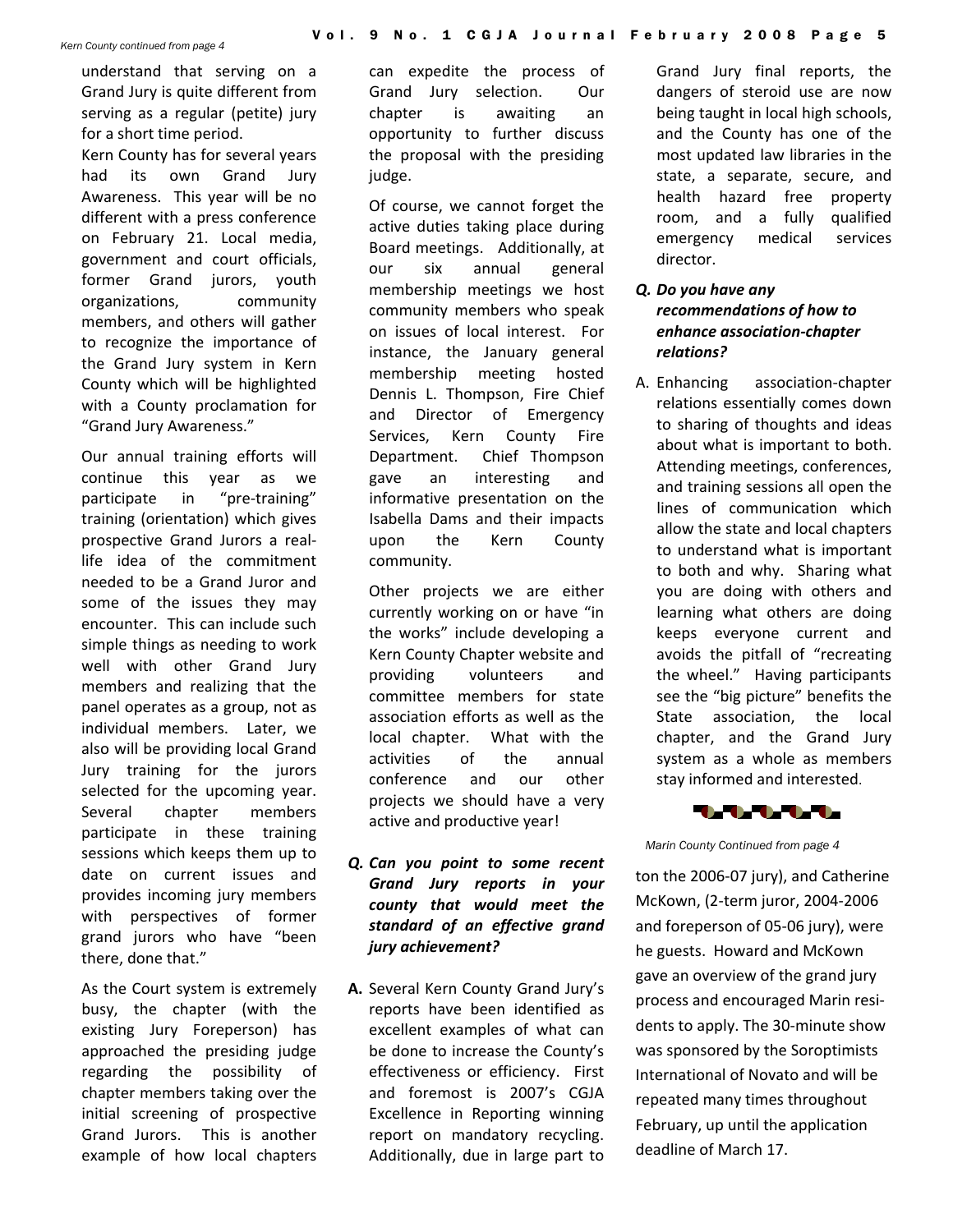understand that serving on a Grand Jury is quite different from serving as a regular (petite) jury for a short time period.

Kern County has for several years had its own Grand Jury Awareness. This year will be no different with a press conference on February 21. Local media, government and court officials, former Grand jurors, youth organizations, community members, and others will gather to recognize the importance of the Grand Jury system in Kern County which will be highlighted with a County proclamation for "Grand Jury Awareness."

Our annual training efforts will continue this year as we participate in "pre-training" training (orientation) which gives prospective Grand Jurors a real‐ life idea of the commitment needed to be a Grand Juror and some of the issues they may encounter. This can include such simple things as needing to work well with other Grand Jury members and realizing that the panel operates as a group, not as individual members. Later, we also will be providing local Grand Jury training for the jurors selected for the upcoming year. Several chapter members participate in these training sessions which keeps them up to date on current issues and provides incoming jury members with perspectives of former grand jurors who have "been there, done that."

As the Court system is extremely busy, the chapter (with the existing Jury Foreperson) has approached the presiding judge regarding the possibility of chapter members taking over the initial screening of prospective Grand Jurors. This is another example of how local chapters can expedite the process of Grand Jury selection. Our chapter is awaiting an opportunity to further discuss the proposal with the presiding judge.

Of course, we cannot forget the active duties taking place during Board meetings. Additionally, at our six annual general membership meetings we host community members who speak on issues of local interest. For instance, the January general membership meeting hosted Dennis L. Thompson, Fire Chief and Director of Emergency Services, Kern County Fire Department. Chief Thompson gave an interesting and informative presentation on the Isabella Dams and their impacts upon the Kern County community.

Other projects we are either currently working on or have "in the works" include developing a Kern County Chapter website and providing volunteers and committee members for state association efforts as well as the local chapter. What with the activities of the annual conference and our other projects we should have a very active and productive year!

- *Q. Can you point to some recent Grand Jury reports in your county that would meet the standard of an effective grand jury achievement?*
- **A.** Several Kern County Grand Jury's reports have been identified as excellent examples of what can be done to increase the County's effectiveness or efficiency. First and foremost is 2007's CGJA Excellence in Reporting winning report on mandatory recycling. Additionally, due in large part to

Grand Jury final reports, the dangers of steroid use are now being taught in local high schools, and the County has one of the most updated law libraries in the state, a separate, secure, and health hazard free property room, and a fully qualified emergency medical services director.

# *Q. Do you have any recommendations of how to enhance association‐chapter relations?*

A. Enhancing association‐chapter relations essentially comes down to sharing of thoughts and ideas about what is important to both. Attending meetings, conferences, and training sessions all open the lines of communication which allow the state and local chapters to understand what is important to both and why. Sharing what you are doing with others and learning what others are doing keeps everyone current and avoids the pitfall of "recreating the wheel." Having participants see the "big picture" benefits the State association, the local chapter, and the Grand Jury system as a whole as members stay informed and interested.



*Marin County Continued from page 4* 

ton the 2006‐07 jury), and Catherine McKown, (2‐term juror, 2004‐2006 and foreperson of 05‐06 jury), were he guests. Howard and McKown gave an overview of the grand jury process and encouraged Marin resi‐ dents to apply. The 30‐minute show was sponsored by the Soroptimists International of Novato and will be repeated many times throughout February, up until the application deadline of March 17.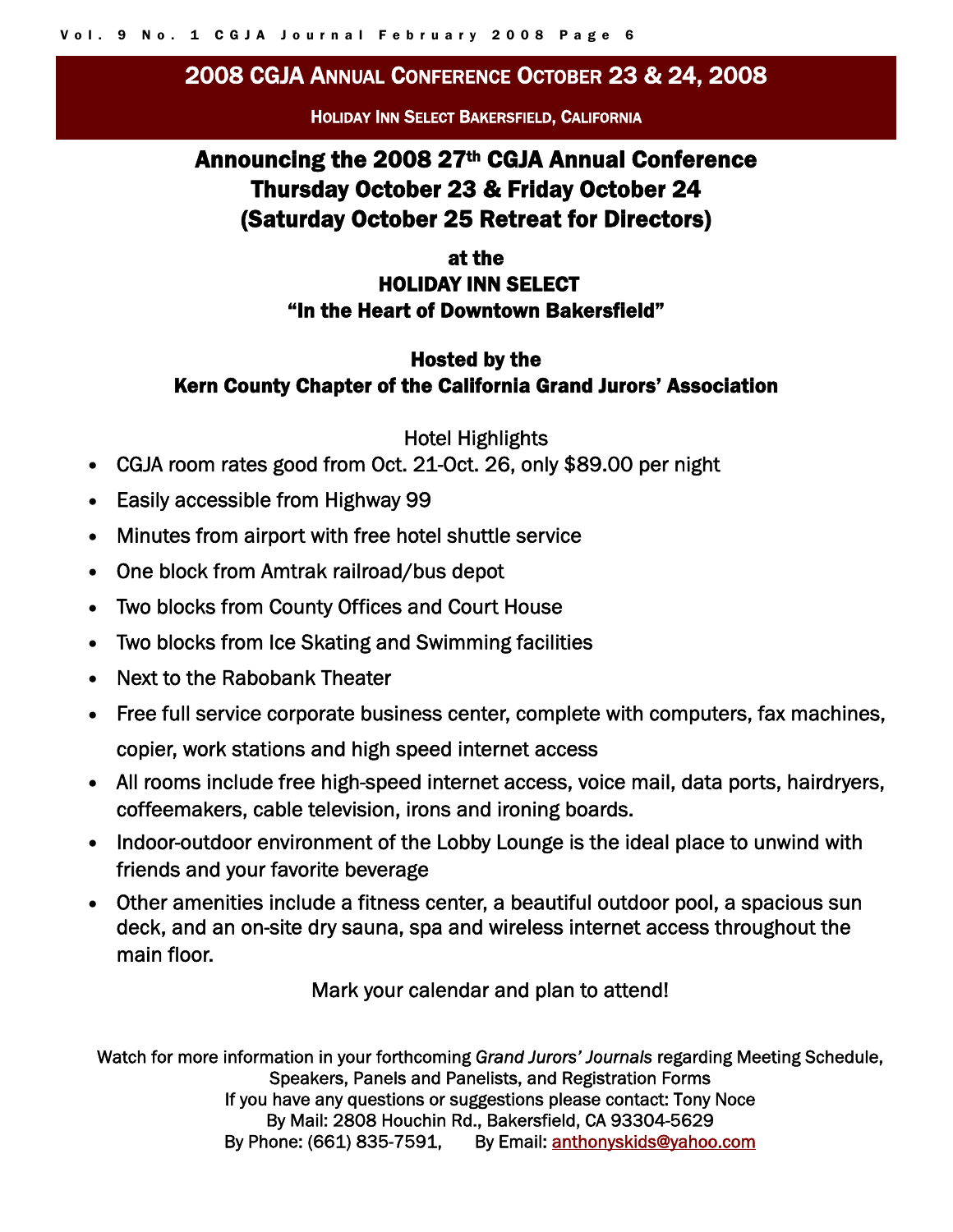# 2008 CGJA ANNUAL CONFERENCE OCTOBER 23 & 24, 2008

HOLIDAY INN SELECT BAKERSFIELD, CALIFORNIA

# Announcing the 2008 27th CGJA Annual Conference Thursday October 23 & Friday October 24 (Saturday October 25 Retreat for Directors)

# at the HOLIDAY INN SELECT "In the Heart of Downtown Bakersfield"

# Hosted by the Kern County Chapter of the California Grand Jurors' Association

Hotel Highlights

- CGJA room rates good from Oct. 21-Oct. 26, only \$89.00 per night
- Easily accessible from Highway 99
- Minutes from airport with free hotel shuttle service
- One block from Amtrak railroad/bus depot
- Two blocks from County Offices and Court House
- Two blocks from Ice Skating and Swimming facilities
- Next to the Rabobank Theater
- Free full service corporate business center, complete with computers, fax machines, copier, work stations and high speed internet access
- All rooms include free high-speed internet access, voice mail, data ports, hairdryers, coffeemakers, cable television, irons and ironing boards.
- Indoor-outdoor environment of the Lobby Lounge is the ideal place to unwind with friends and your favorite beverage
- Other amenities include a fitness center, a beautiful outdoor pool, a spacious sun deck, and an on-site dry sauna, spa and wireless internet access throughout the main floor.

Mark your calendar and plan to attend!

Watch for more information in your forthcoming *Grand Jurors' Journals* regarding Meeting Schedule, Speakers, Panels and Panelists, and Registration Forms If you have any questions or suggestions please contact: Tony Noce By Mail: 2808 Houchin Rd., Bakersfield, CA 93304-5629 By Phone: (661) 835-7591, By Email: anthonyskids@yahoo.com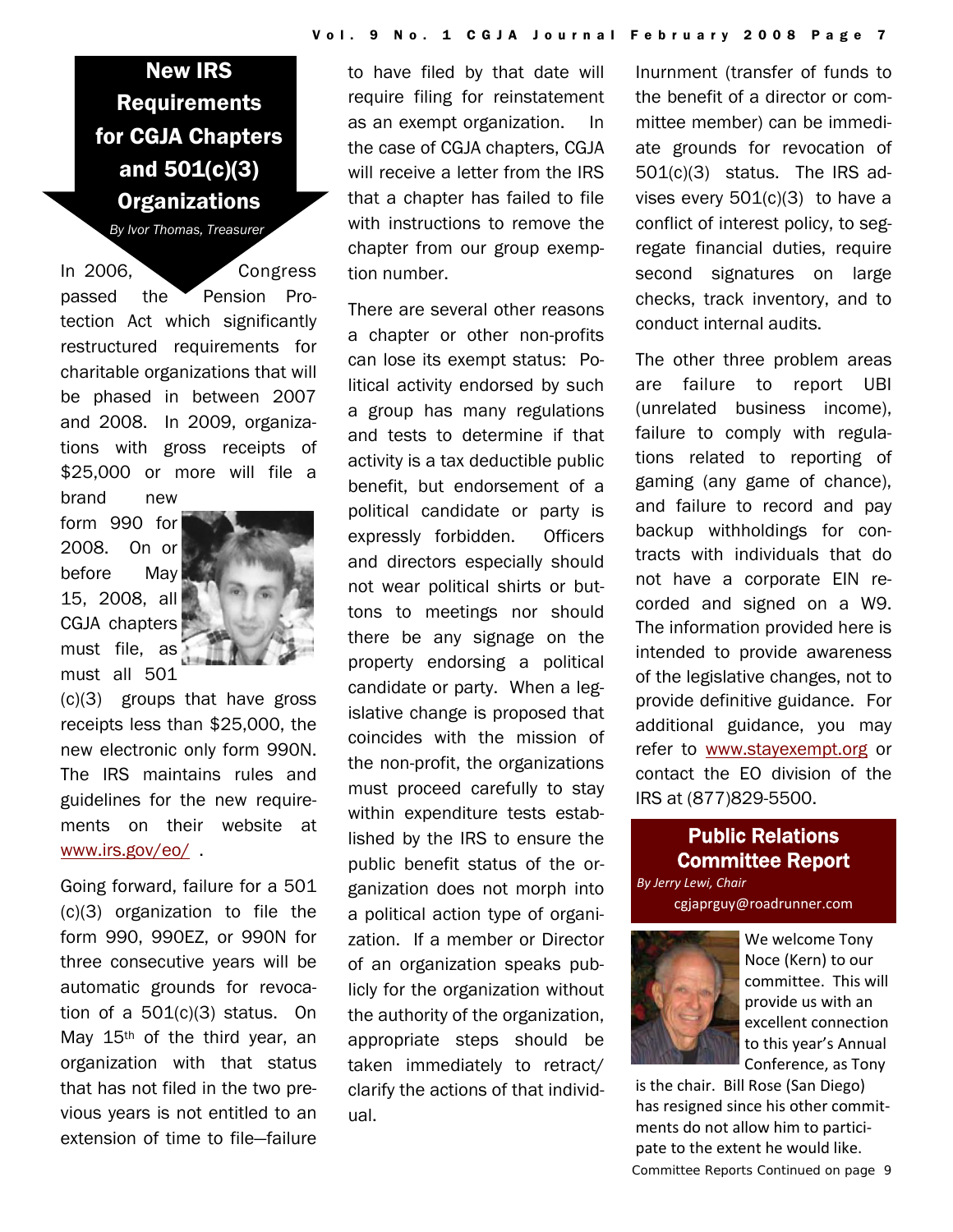New IRS Requirements for CGJA Chapters and 501(c)(3) **Organizations** 

*By Ivor Thomas, Treasurer*

In 2006, Congress passed the Pension Protection Act which significantly restructured requirements for charitable organizations that will be phased in between 2007 and 2008. In 2009, organizations with gross receipts of \$25,000 or more will file a brand new

form 990 for 2008. On or before May 15, 2008, all CGJA chapters must file, as must all 501



(c)(3) groups that have gross receipts less than \$25,000, the new electronic only form 990N. The IRS maintains rules and guidelines for the new requirements on their website at www.irs.gov/eo/ .

Going forward, failure for a 501 (c)(3) organization to file the form 990, 990EZ, or 990N for three consecutive years will be automatic grounds for revocation of a 501(c)(3) status. On May 15th of the third year, an organization with that status that has not filed in the two previous years is not entitled to an extension of time to file—failure

to have filed by that date will require filing for reinstatement as an exempt organization. In the case of CGJA chapters, CGJA will receive a letter from the IRS that a chapter has failed to file with instructions to remove the chapter from our group exemption number.

There are several other reasons a chapter or other non-profits can lose its exempt status: Political activity endorsed by such a group has many regulations and tests to determine if that activity is a tax deductible public benefit, but endorsement of a political candidate or party is expressly forbidden. Officers and directors especially should not wear political shirts or buttons to meetings nor should there be any signage on the property endorsing a political candidate or party. When a legislative change is proposed that coincides with the mission of the non-profit, the organizations must proceed carefully to stay within expenditure tests established by the IRS to ensure the public benefit status of the organization does not morph into a political action type of organization. If a member or Director of an organization speaks publicly for the organization without the authority of the organization, appropriate steps should be taken immediately to retract/ clarify the actions of that individual.

Inurnment (transfer of funds to the benefit of a director or committee member) can be immediate grounds for revocation of 501(c)(3) status. The IRS advises every 501(c)(3) to have a conflict of interest policy, to segregate financial duties, require second signatures on large checks, track inventory, and to conduct internal audits.

The other three problem areas are failure to report UBI (unrelated business income), failure to comply with regulations related to reporting of gaming (any game of chance), and failure to record and pay backup withholdings for contracts with individuals that do not have a corporate EIN recorded and signed on a W9. The information provided here is intended to provide awareness of the legislative changes, not to provide definitive guidance. For additional guidance, you may refer to www.stayexempt.org or contact the EO division of the IRS at (877)829-5500.

# Public Relations Committee Report

*By Jerry Lewi, Chair* cgjaprguy@roadrunner.com



We welcome Tony Noce (Kern) to our committee. This will provide us with an excellent connection to this year's Annual Conference, as Tony

*Committee Reports Continued on page 9*  is the chair. Bill Rose (San Diego) has resigned since his other commit‐ ments do not allow him to partici‐ pate to the extent he would like.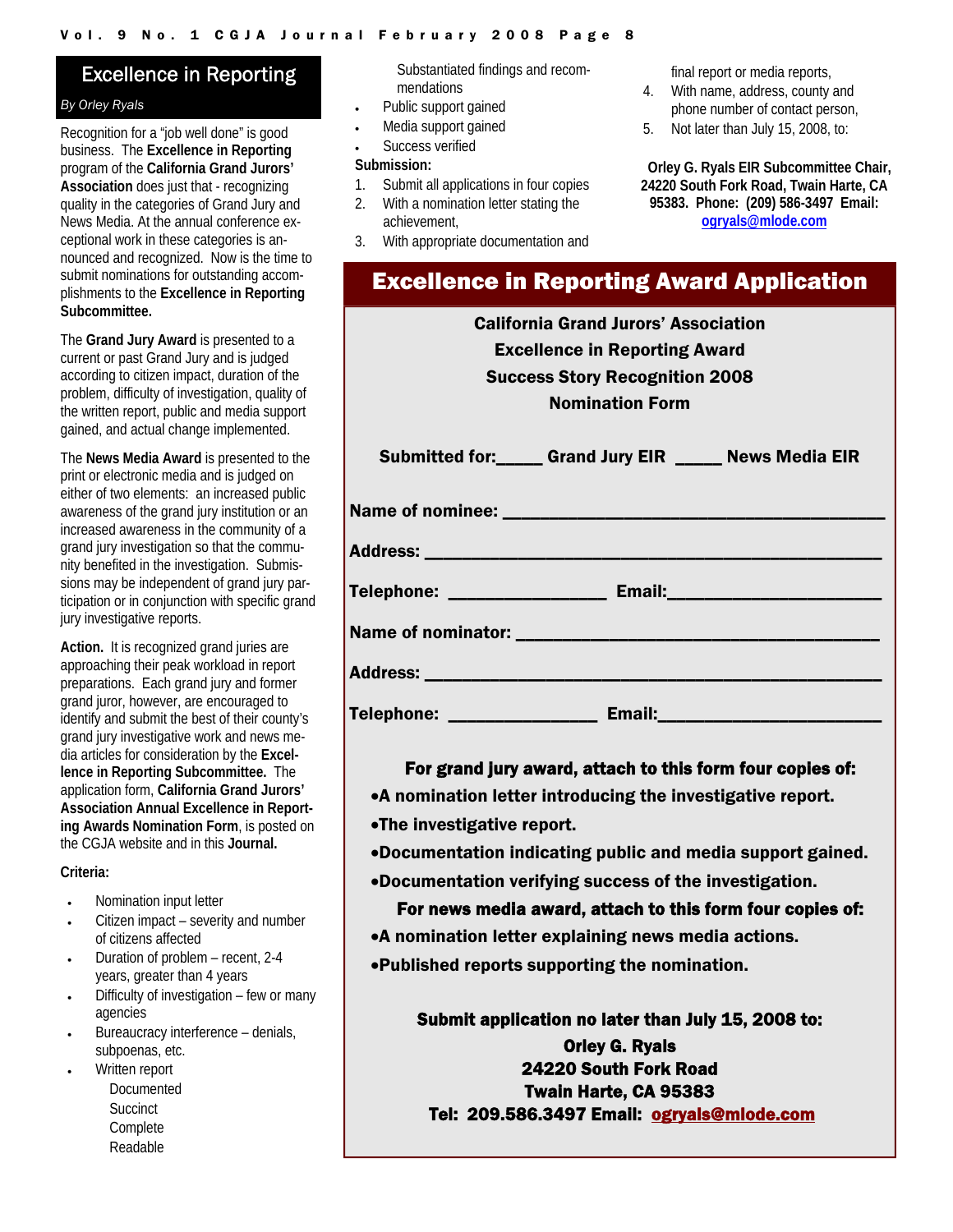# Excellence in Reporting

#### *By Orley Ryals*

Recognition for a "job well done" is good business. The **Excellence in Reporting**  program of the **California Grand Jurors' Association** does just that - recognizing quality in the categories of Grand Jury and News Media. At the annual conference exceptional work in these categories is announced and recognized. Now is the time to submit nominations for outstanding accomplishments to the **Excellence in Reporting Subcommittee.**

The **Grand Jury Award** is presented to a current or past Grand Jury and is judged according to citizen impact, duration of the problem, difficulty of investigation, quality of the written report, public and media support gained, and actual change implemented.

The **News Media Award** is presented to the print or electronic media and is judged on either of two elements: an increased public awareness of the grand jury institution or an increased awareness in the community of a grand jury investigation so that the community benefited in the investigation. Submissions may be independent of grand jury participation or in conjunction with specific grand jury investigative reports.

**Action.** It is recognized grand juries are approaching their peak workload in report preparations. Each grand jury and former grand juror, however, are encouraged to identify and submit the best of their county's grand jury investigative work and news media articles for consideration by the **Excellence in Reporting Subcommittee.** The application form, **California Grand Jurors' Association Annual Excellence in Reporting Awards Nomination Form**, is posted on the CGJA website and in this **Journal.** 

#### **Criteria:**

- Nomination input letter
- Citizen impact severity and number of citizens affected
- Duration of problem recent, 2-4 years, greater than 4 years
- Difficulty of investigation few or many agencies
- Bureaucracy interference denials. subpoenas, etc.
- Written report
	- Documented **Succinct Complete** Readable

Substantiated findings and recommendations

- Public support gained
- Media support gained
- Success verified

#### **Submission:**

- 1. Submit all applications in four copies
- 2. With a nomination letter stating the achievement,
- 3. With appropriate documentation and
- final report or media reports,
- 4. With name, address, county and phone number of contact person,
- 5. Not later than July 15, 2008, to:

**Orley G. Ryals EIR Subcommittee Chair, 24220 South Fork Road, Twain Harte, CA 95383. Phone: (209) 586-3497 Email: ogryals@mlode.com**

|  | <b>Excellence in Reporting Award Application</b> |  |
|--|--------------------------------------------------|--|
|  |                                                  |  |

California Grand Jurors' Association Excellence in Reporting Award Success Story Recognition 2008 Nomination Form

|                                                  | Submitted for: Grand Jury EIR _____ News Media EIR |  |
|--------------------------------------------------|----------------------------------------------------|--|
|                                                  |                                                    |  |
|                                                  |                                                    |  |
|                                                  |                                                    |  |
|                                                  |                                                    |  |
|                                                  |                                                    |  |
| <u> Tanzania (h. 1888).</u><br><b>Telephone:</b> | Email: <b>Email:</b>                               |  |

For grand jury award, attach to this form four copies of:

- •A nomination letter introducing the investigative report.
- •The investigative report.
- •Documentation indicating public and media support gained.
- •Documentation verifying success of the investigation.

#### For news media award, attach to this form four copies of:

- •A nomination letter explaining news media actions.
- •Published reports supporting the nomination.

Submit application no later than July 15, 2008 to:

Orley G. Ryals 24220 South Fork Road Twain Harte, CA 95383 Tel: 209.586.3497 Email: ogryals@mlode.com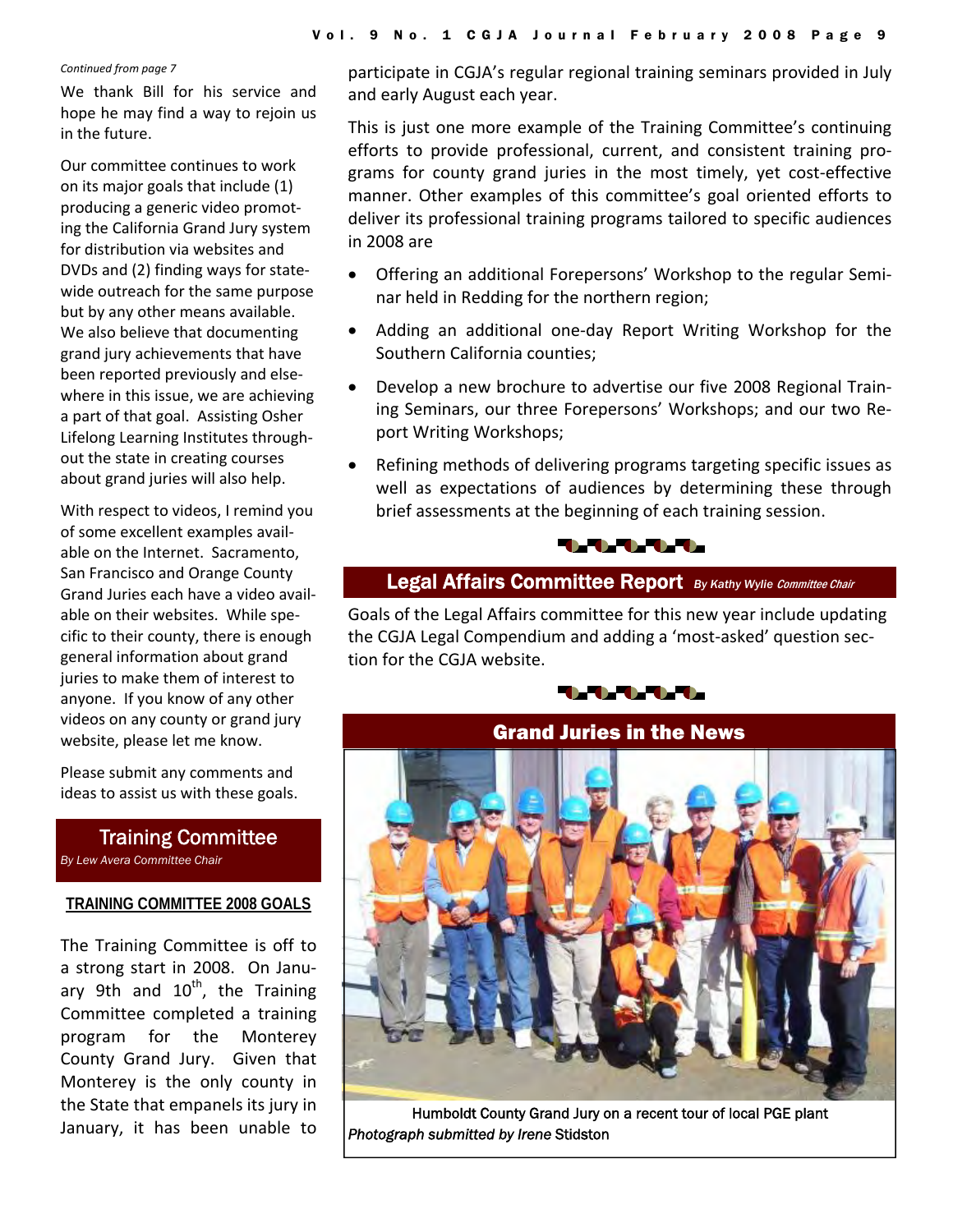#### *Continued from page 7*

We thank Bill for his service and hope he may find a way to rejoin us in the future.

Our committee continues to work on its major goals that include (1) producing a generic video promot‐ ing the California Grand Jury system for distribution via websites and DVDs and (2) finding ways for state‐ wide outreach for the same purpose but by any other means available. We also believe that documenting grand jury achievements that have been reported previously and else‐ where in this issue, we are achieving a part of that goal. Assisting Osher Lifelong Learning Institutes through‐ out the state in creating courses about grand juries will also help.

With respect to videos, I remind you of some excellent examples avail‐ able on the Internet. Sacramento, San Francisco and Orange County Grand Juries each have a video avail‐ able on their websites. While specific to their county, there is enough general information about grand juries to make them of interest to anyone. If you know of any other videos on any county or grand jury website, please let me know.

Please submit any comments and ideas to assist us with these goals.

Training Committee *By Lew Avera Committee Chair* 

#### **TRAINING COMMITTEE 2008 GOALS**

The Training Committee is off to a strong start in 2008. On Janu‐ ary 9th and  $10^{th}$ , the Training Committee completed a training program for the Monterey County Grand Jury. Given that Monterey is the only county in the State that empanels its jury in January, it has been unable to

participate in CGJA's regular regional training seminars provided in July and early August each year.

This is just one more example of the Training Committee's continuing efforts to provide professional, current, and consistent training pro‐ grams for county grand juries in the most timely, yet cost‐effective manner. Other examples of this committee's goal oriented efforts to deliver its professional training programs tailored to specific audiences in 2008 are

- Offering an additional Forepersons' Workshop to the regular Semi‐ nar held in Redding for the northern region;
- Adding an additional one-day Report Writing Workshop for the Southern California counties;
- Develop a new brochure to advertise our five 2008 Regional Train‐ ing Seminars, our three Forepersons' Workshops; and our two Re‐ port Writing Workshops;
- Refining methods of delivering programs targeting specific issues as well as expectations of audiences by determining these through brief assessments at the beginning of each training session.



# Legal Affairs Committee Report **By Kathy Wylie Committee Chair**

Goals of the Legal Affairs committee for this new year include updating the CGJA Legal Compendium and adding a 'most‐asked' question sec‐ tion for the CGJA website.



# Grand Juries in the News

Humboldt County Grand Jury on a recent tour of local PGE plant *Photograph submitted by Irene* Stidston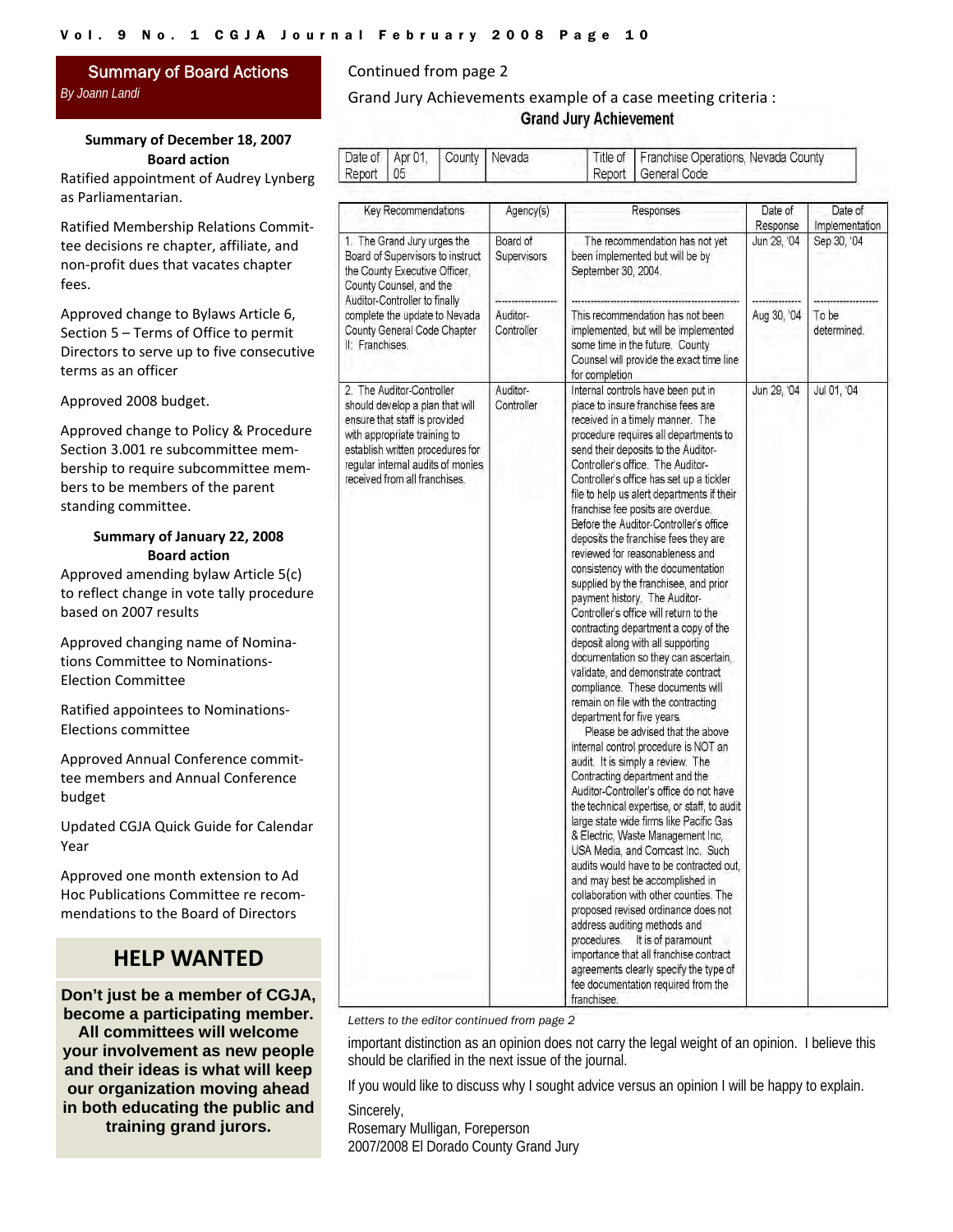#### Summary of Board Actions *By Joann Landi*

#### **Summary of December 18, 2007 Board action**

Ratified appointment of Audrey Lynberg as Parliamentarian.

Ratified Membership Relations Commit‐ tee decisions re chapter, affiliate, and non‐profit dues that vacates chapter fees.

Approved change to Bylaws Article 6, Section 5 – Terms of Office to permit Directors to serve up to five consecutive terms as an officer

Approved 2008 budget.

Approved change to Policy & Procedure Section 3.001 re subcommittee mem‐ bership to require subcommittee mem‐ bers to be members of the parent standing committee.

#### **Summary of January 22, 2008 Board action**

Approved amending bylaw Article 5(c) to reflect change in vote tally procedure based on 2007 results

Approved changing name of Nomina‐ tions Committee to Nominations‐ Election Committee

Ratified appointees to Nominations‐ Elections committee

Approved Annual Conference commit‐ tee members and Annual Conference budget

Updated CGJA Quick Guide for Calendar Year

Approved one month extension to Ad Hoc Publications Committee re recom‐ mendations to the Board of Directors

# **HELP WANTED**

**Don't just be a member of CGJA, become a participating member. All committees will welcome your involvement as new people and their ideas is what will keep our organization moving ahead in both educating the public and training grand jurors.** 

#### Continued from page 2

#### Grand Jury Achievements example of a case meeting criteria : **Grand Jury Achievement**

|           |  | Date of Apr 01, County Nevada | Title of   Franchise Operations, Nevada County |
|-----------|--|-------------------------------|------------------------------------------------|
| Report 05 |  |                               | Report   General Code                          |

| Key Recommendations                                                                                                                                                                                                                             | Agency(s)               | Responses                                                                                                                                                                                                                                                                                                                                                                                                                                                                                                                                                                                                                                                                                                                                                                                                                                                                                                                                                                                                                                                                                                                                                                                                                                                                                                                                                                                                                                                                                                                                                                                                                                                          | Date of     | Date of              |
|-------------------------------------------------------------------------------------------------------------------------------------------------------------------------------------------------------------------------------------------------|-------------------------|--------------------------------------------------------------------------------------------------------------------------------------------------------------------------------------------------------------------------------------------------------------------------------------------------------------------------------------------------------------------------------------------------------------------------------------------------------------------------------------------------------------------------------------------------------------------------------------------------------------------------------------------------------------------------------------------------------------------------------------------------------------------------------------------------------------------------------------------------------------------------------------------------------------------------------------------------------------------------------------------------------------------------------------------------------------------------------------------------------------------------------------------------------------------------------------------------------------------------------------------------------------------------------------------------------------------------------------------------------------------------------------------------------------------------------------------------------------------------------------------------------------------------------------------------------------------------------------------------------------------------------------------------------------------|-------------|----------------------|
|                                                                                                                                                                                                                                                 |                         |                                                                                                                                                                                                                                                                                                                                                                                                                                                                                                                                                                                                                                                                                                                                                                                                                                                                                                                                                                                                                                                                                                                                                                                                                                                                                                                                                                                                                                                                                                                                                                                                                                                                    | Response    | Implementation       |
| 1. The Grand Jury urges the<br>Board of Supervisors to instruct<br>the County Executive Officer,<br>County Counsel, and the<br>Auditor-Controller to finally<br>complete the update to Nevada<br>County General Code Chapter<br>II: Franchises. | Board of<br>Supervisors | The recommendation has not yet<br>been implemented but will be by<br>September 30, 2004.                                                                                                                                                                                                                                                                                                                                                                                                                                                                                                                                                                                                                                                                                                                                                                                                                                                                                                                                                                                                                                                                                                                                                                                                                                                                                                                                                                                                                                                                                                                                                                           | Jun 29, '04 | Sep 30, '04          |
|                                                                                                                                                                                                                                                 | Auditor-<br>Controller  | This recommendation has not been<br>implemented, but will be implemented<br>some time in the future. County<br>Counsel will provide the exact time line<br>for completion                                                                                                                                                                                                                                                                                                                                                                                                                                                                                                                                                                                                                                                                                                                                                                                                                                                                                                                                                                                                                                                                                                                                                                                                                                                                                                                                                                                                                                                                                          | Aug 30, '04 | To be<br>determined. |
| 2. The Auditor-Controller<br>should develop a plan that will<br>ensure that staff is provided<br>with appropriate training to<br>establish written procedures for<br>regular internal audits of monies<br>received from all franchises.         | Auditor-<br>Controller  | Internal controls have been put in<br>place to insure franchise fees are<br>received in a timely manner. The<br>procedure requires all departments to<br>send their deposits to the Auditor-<br>Controller's office. The Auditor-<br>Controller's office has set up a tickler<br>file to help us alert departments if their<br>franchise fee posits are overdue.<br>Before the Auditor-Controller's office<br>deposits the franchise fees they are<br>reviewed for reasonableness and<br>consistency with the documentation<br>supplied by the franchisee, and prior<br>payment history. The Auditor-<br>Controller's office will return to the<br>contracting department a copy of the<br>deposit along with all supporting<br>documentation so they can ascertain,<br>validate, and demonstrate contract<br>compliance. These documents will<br>remain on file with the contracting<br>department for five years.<br>Please be advised that the above<br>internal control procedure is NOT an<br>audit. It is simply a review. The<br>Contracting department and the<br>Auditor-Controller's office do not have<br>the technical expertise, or staff, to audit<br>large state wide firms like Pacific Gas<br>& Electric, Waste Management Inc,<br>USA Media, and Comcast Inc. Such<br>audits would have to be contracted out,<br>and may best be accomplished in<br>collaboration with other counties. The<br>proposed revised ordinance does not<br>address auditing methods and<br>procedures.<br>It is of paramount<br>importance that all franchise contract<br>agreements clearly specify the type of<br>fee documentation required from the<br>franchisee. | Jun 29, '04 | Jul 01, '04          |

*Letters to the editor continued from page 2* 

important distinction as an opinion does not carry the legal weight of an opinion. I believe this should be clarified in the next issue of the journal.

If you would like to discuss why I sought advice versus an opinion I will be happy to explain.

Sincerely,

Rosemary Mulligan, Foreperson 2007/2008 El Dorado County Grand Jury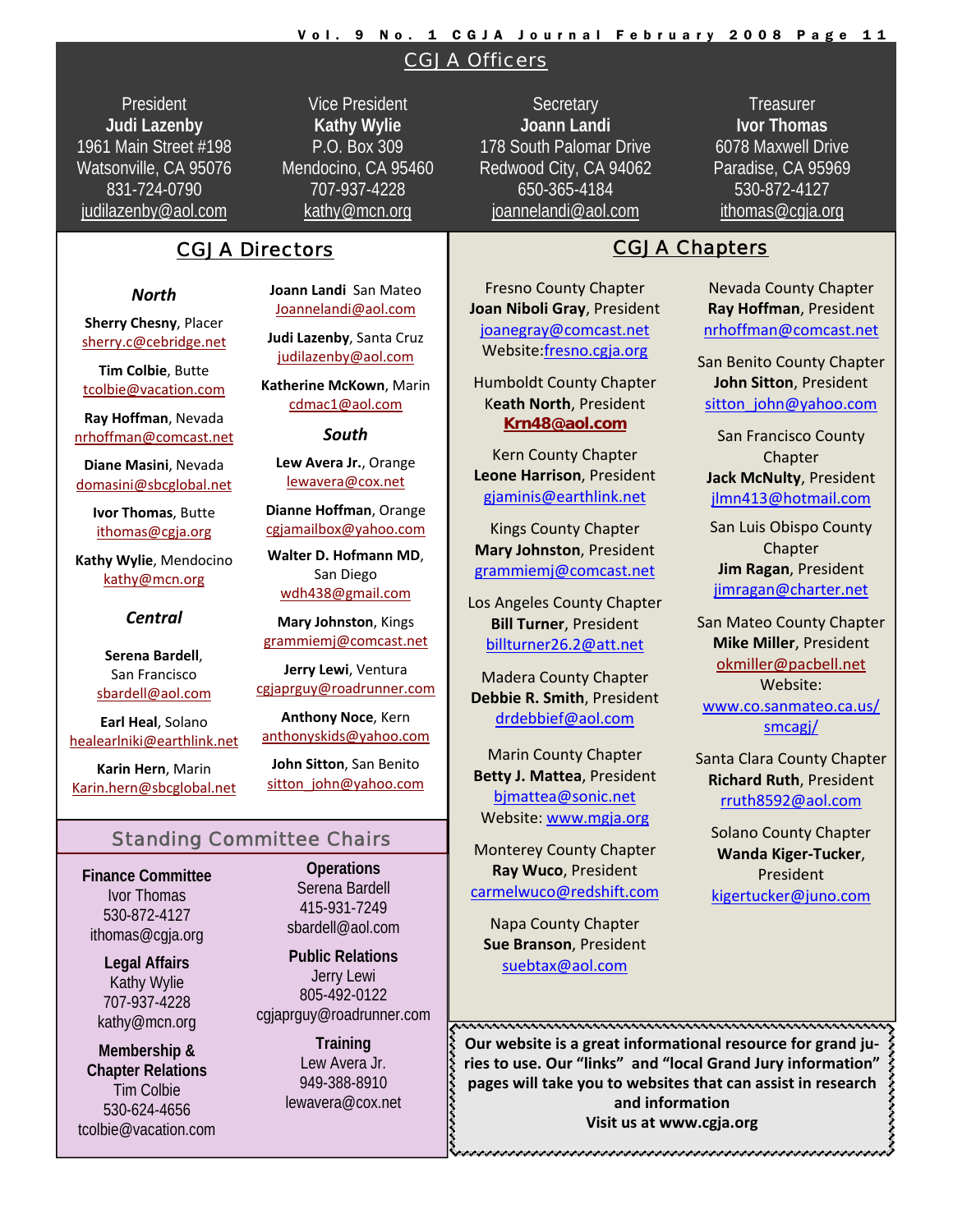# Vol. 9 No. 1 CGJA Journal February 2008 Page 11

CGJA Officers

President **Judi Lazenby** 1961 Main Street #198 Watsonville, CA 95076 831-724-0790 judilazenby@aol.com

Vice President **Kathy Wylie** P.O. Box 309 Mendocino, CA 95460 707-937-4228 kathy@mcn.org

# CGJA Directors **CGJA Chapters**

#### *North*

**Sherry Chesny**, Placer sherry.c@cebridge.net

**Tim Colbie**, Butte tcolbie@vacation.com

**Ray Hoffman**, Nevada nrhoffman@comcast.net

**Diane Masini**, Nevada domasini@sbcglobal.net

> **Ivor Thomas**, Butte ithomas@cgja.org

**Kathy Wylie**, Mendocino kathy@mcn.org

#### *Central*

**Serena Bardell**, San Francisco sbardell@aol.com

**Earl Heal**, Solano healearlniki@earthlink.net

**Karin Hern**, Marin Karin.hern@sbcglobal.net **Joann Landi** San Mateo Joannelandi@aol.com

**Judi Lazenby**, Santa Cruz judilazenby@aol.com

**Katherine McKown**, Marin cdmac1@aol.com

*South*

**Lew Avera Jr.**, Orange lewavera@cox.net

**Dianne Hoffman**, Orange

**Walter D. Hofmann MD**, San Diego wdh438@gmail.com

**Mary Johnston**, Kings

cgjaprguy@roadrunner.com

**Anthony Noce**, Kern anthonyskids@yahoo.com

**John Sitton**, San Benito sitton\_john@yahoo.com

# Standing Committee Chairs

**Finance Committee**  Ivor Thomas 530-872-4127 ithomas@cgja.org

> **Legal Affairs**  Kathy Wylie 707-937-4228 kathy@mcn.org

**Membership & Chapter Relations**  Tim Colbie 530-624-4656 tcolbie@vacation.com

**Operations**  Serena Bardell 415-931-7249 sbardell@aol.com

**Public Relations**  Jerry Lewi 805-492-0122 cgjaprguy@roadrunner.com

> **Training**  Lew Avera Jr. 949-388-8910 lewavera@cox.net

**Secretary Joann Landi** 178 South Palomar Drive Redwood City, CA 94062 650-365-4184 joannelandi@aol.com

Fresno County Chapter **Joan Niboli Gray**, President joanegray@comcast.net Website:fresno.cgja.org

Kern County Chapter **Leone Harrison**, President gjaminis@earthlink.net

Kings County Chapter **Mary Johnston**, President grammiemj@comcast.net

Los Angeles County Chapter **Bill Turner**, President billturner26.2@att.net

Madera County Chapter **Debbie R. Smith**, President drdebbief@aol.com

Marin County Chapter **Betty J. Mattea**, President bjmattea@sonic.net Website: www.mgja.org

Monterey County Chapter **Ray Wuco**, President carmelwuco@redshift.com

Napa County Chapter **Sue Branson**, President suebtax@aol.com

**Treasurer Ivor Thomas** 6078 Maxwell Drive Paradise, CA 95969 530-872-4127 ithomas@cgja.org

Nevada County Chapter **Ray Hoffman**, President nrhoffman@comcast.net

San Benito County Chapter **John Sitton**, President sitton\_john@yahoo.com

San Francisco County **Chapter Jack McNulty**, President jlmn413@hotmail.com

San Luis Obispo County Chapter **Jim Ragan**, President jimragan@charter.net

San Mateo County Chapter **Mike Miller**, President okmiller@pacbell.net Website: www.co.sanmateo.ca.us/ smcagj/

Santa Clara County Chapter **Richard Ruth**, President rruth8592@aol.com

Solano County Chapter **Wanda Kiger‐Tucker**, President kigertucker@juno.com

**Our website is a great informational resource for grand ju‐ ries to use. Our "links" and "local Grand Jury information" hades pages** will take you to websites that can assist in research<br> **pages** will take you to websites that can assist in research<br>
and information<br>
Visit us at www.cgja.org **and information Visit us at www.cgja.org**

Humboldt County Chapter K**eath North**, President **Krn48@aol.com**

cgjamailbox@yahoo.com

grammiemj@comcast.net

**Jerry Lewi**, Ventura